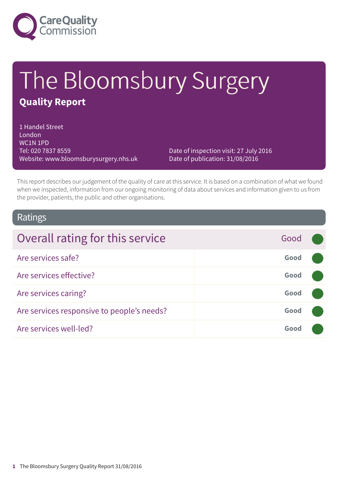

# The Bloomsbury Surgery **Quality Report**

1 Handel Street London WC1N 1PD Tel: 020 7837 8559 Website: www.bloomsburysurgery.nhs.uk

Date of inspection visit: 27 July 2016 Date of publication: 31/08/2016

This report describes our judgement of the quality of care at this service. It is based on a combination of what we found when we inspected, information from our ongoing monitoring of data about services and information given to us from the provider, patients, the public and other organisations.

### Ratings

| Overall rating for this service            | Good |  |
|--------------------------------------------|------|--|
| Are services safe?                         | Good |  |
| Are services effective?                    | Good |  |
| Are services caring?                       | Good |  |
| Are services responsive to people's needs? | Good |  |
| Are services well-led?                     | Good |  |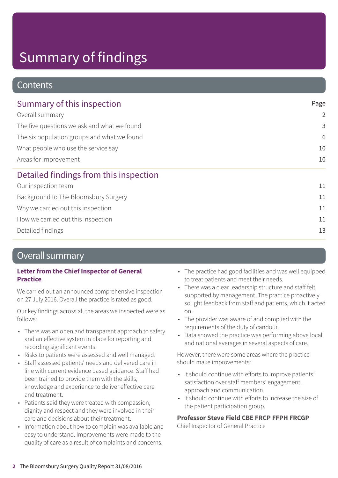### **Contents**

| Summary of this inspection                                                                                                                                                    | Page            |
|-------------------------------------------------------------------------------------------------------------------------------------------------------------------------------|-----------------|
| Overall summary<br>The five questions we ask and what we found<br>The six population groups and what we found<br>What people who use the service say<br>Areas for improvement | $\overline{2}$  |
|                                                                                                                                                                               | 3               |
|                                                                                                                                                                               | $6\phantom{1}6$ |
|                                                                                                                                                                               | 10              |
|                                                                                                                                                                               | 10              |
| Detailed findings from this inspection                                                                                                                                        |                 |
| Our inspection team                                                                                                                                                           | 11              |
| Background to The Bloomsbury Surgery                                                                                                                                          | 11              |
| Why we carried out this inspection                                                                                                                                            | 11              |
| How we carried out this inspection                                                                                                                                            | 11              |
| Detailed findings                                                                                                                                                             | 13              |

### Overall summary

#### **Letter from the Chief Inspector of General Practice**

We carried out an announced comprehensive inspection on 27 July 2016. Overall the practice is rated as good.

Our key findings across all the areas we inspected were as follows:

- There was an open and transparent approach to safety and an effective system in place for reporting and recording significant events.
- Risks to patients were assessed and well managed.
- Staff assessed patients' needs and delivered care in line with current evidence based guidance. Staff had been trained to provide them with the skills, knowledge and experience to deliver effective care and treatment.
- Patients said they were treated with compassion, dignity and respect and they were involved in their care and decisions about their treatment.
- Information about how to complain was available and easy to understand. Improvements were made to the quality of care as a result of complaints and concerns.
- The practice had good facilities and was well equipped to treat patients and meet their needs.
- There was a clear leadership structure and staff felt supported by management. The practice proactively sought feedback from staff and patients, which it acted on.
- The provider was aware of and complied with the requirements of the duty of candour.
- Data showed the practice was performing above local and national averages in several aspects of care.

However, there were some areas where the practice should make improvements:

- It should continue with efforts to improve patients' satisfaction over staff members' engagement, approach and communication.
- It should continue with efforts to increase the size of the patient participation group.

#### **Professor Steve Field CBE FRCP FFPH FRCGP**

Chief Inspector of General Practice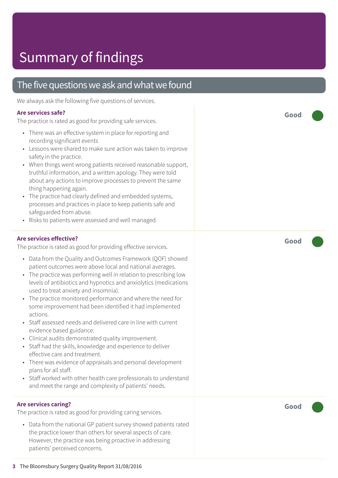### The five questions we ask and what we found

We always ask the following five questions of services.

#### **Are services safe?**

The practice is rated as good for providing safe services.

- There was an effective system in place for reporting and recording significant events
- Lessons were shared to make sure action was taken to improve safety in the practice.
- When things went wrong patients received reasonable support, truthful information, and a written apology. They were told about any actions to improve processes to prevent the same thing happening again.
- The practice had clearly defined and embedded systems, processes and practices in place to keep patients safe and safeguarded from abuse.
- Risks to patients were assessed and well managed.

#### **Are services effective?**

The practice is rated as good for providing effective services.

- Data from the Quality and Outcomes Framework (QOF) showed patient outcomes were above local and national averages.
- The practice was performing well in relation to prescribing low levels of antibiotics and hypnotics and anxiolytics (medications used to treat anxiety and insomnia).
- The practice monitored performance and where the need for some improvement had been identified it had implemented actions.
- Staff assessed needs and delivered care in line with current evidence based guidance.
- Clinical audits demonstrated quality improvement.
- Staff had the skills, knowledge and experience to deliver effective care and treatment.
- There was evidence of appraisals and personal development plans for all staff.
- Staff worked with other health care professionals to understand and meet the range and complexity of patients' needs.

#### **Are services caring?**

The practice is rated as good for providing caring services.

• Data from the national GP patient survey showed patients rated the practice lower than others for several aspects of care. However, the practice was being proactive in addressing patients' perceived concerns.

**Good –––**

**Good –––**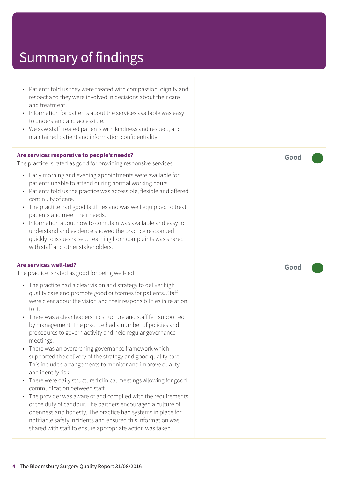- Patients told us they were treated with compassion, dignity and respect and they were involved in decisions about their care and treatment. • Information for patients about the services available was easy to understand and accessible. • We saw staff treated patients with kindness and respect, and maintained patient and information confidentiality. **Are services responsive to people's needs?** The practice is rated as good for providing responsive services. • Early morning and evening appointments were available for patients unable to attend during normal working hours. • Patients told us the practice was accessible, flexible and offered continuity of care. • The practice had good facilities and was well equipped to treat patients and meet their needs. • Information about how to complain was available and easy to understand and evidence showed the practice responded quickly to issues raised. Learning from complaints was shared with staff and other stakeholders. **Are services well-led?** The practice is rated as good for being well-led. • The practice had a clear vision and strategy to deliver high quality care and promote good outcomes for patients. Staff were clear about the vision and their responsibilities in relation to it. • There was a clear leadership structure and staff felt supported by management. The practice had a number of policies and procedures to govern activity and held regular governance meetings. • There was an overarching governance framework which supported the delivery of the strategy and good quality care. This included arrangements to monitor and improve quality and identify risk. • There were daily structured clinical meetings allowing for good communication between staff.
	- The provider was aware of and complied with the requirements of the duty of candour. The partners encouraged a culture of openness and honesty. The practice had systems in place for notifiable safety incidents and ensured this information was shared with staff to ensure appropriate action was taken.

**Good –––**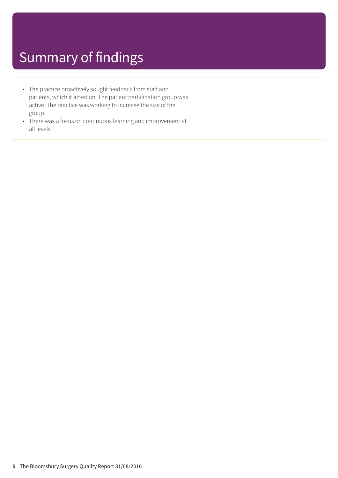- The practice proactively sought feedback from staff and patients, which it acted on. The patient participation group was active. The practice was working to increase the size of the group.
- There was a focus on continuous learning and improvement at all levels.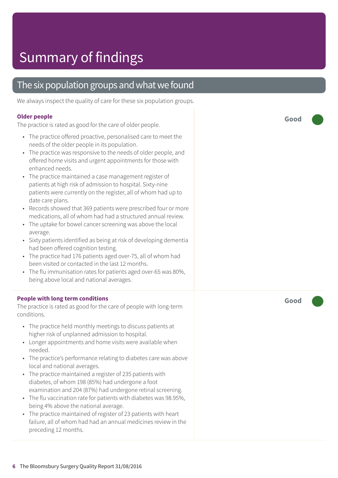### The six population groups and what we found

We always inspect the quality of care for these six population groups.

#### **Older people**

The practice is rated as good for the care of older people.

- The practice offered proactive, personalised care to meet the needs of the older people in its population.
- The practice was responsive to the needs of older people, and offered home visits and urgent appointments for those with enhanced needs.
- The practice maintained a case management register of patients at high risk of admission to hospital. Sixty-nine patients were currently on the register, all of whom had up to date care plans.
- Records showed that 369 patients were prescribed four or more medications, all of whom had had a structured annual review.
- The uptake for bowel cancer screening was above the local average.
- Sixty patients identified as being at risk of developing dementia had been offered cognition testing.
- The practice had 176 patients aged over-75, all of whom had been visited or contacted in the last 12 months.
- The flu immunisation rates for patients aged over-65 was 80%, being above local and national averages.

#### **People with long term conditions**

The practice is rated as good for the care of people with long-term conditions.

- The practice held monthly meetings to discuss patients at higher risk of unplanned admission to hospital.
- Longer appointments and home visits were available when needed.
- The practice's performance relating to diabetes care was above local and national averages.
- The practice maintained a register of 235 patients with diabetes, of whom 198 (85%) had undergone a foot examination and 204 (87%) had undergone retinal screening.
- The flu vaccination rate for patients with diabetes was 98.95%, being 4% above the national average.
- The practice maintained of register of 23 patients with heart failure, all of whom had had an annual medicines review in the preceding 12 months.

**Good –––**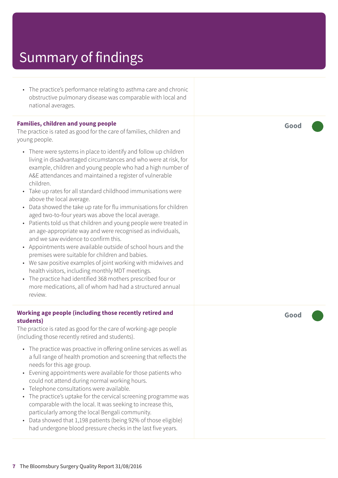• The practice's performance relating to asthma care and chronic obstructive pulmonary disease was comparable with local and national averages.

#### **Families, children and young people**

The practice is rated as good for the care of families, children and young people.

- There were systems in place to identify and follow up children living in disadvantaged circumstances and who were at risk, for example, children and young people who had a high number of A&E attendances and maintained a register of vulnerable children.
- Take up rates for all standard childhood immunisations were above the local average.
- Data showed the take up rate for flu immunisations for children aged two-to-four years was above the local average.
- Patients told us that children and young people were treated in an age-appropriate way and were recognised as individuals, and we saw evidence to confirm this.
- Appointments were available outside of school hours and the premises were suitable for children and babies.
- We saw positive examples of joint working with midwives and health visitors, including monthly MDT meetings.
- The practice had identified 368 mothers prescribed four or more medications, all of whom had had a structured annual review.

#### **Working age people (including those recently retired and students)**

The practice is rated as good for the care of working-age people (including those recently retired and students).

- The practice was proactive in offering online services as well as a full range of health promotion and screening that reflects the needs for this age group.
- Evening appointments were available for those patients who could not attend during normal working hours.
- Telephone consultations were available.
- The practice's uptake for the cervical screening programme was comparable with the local. It was seeking to increase this, particularly among the local Bengali community.
- Data showed that 1,198 patients (being 92% of those eligible) had undergone blood pressure checks in the last five years.

**Good –––**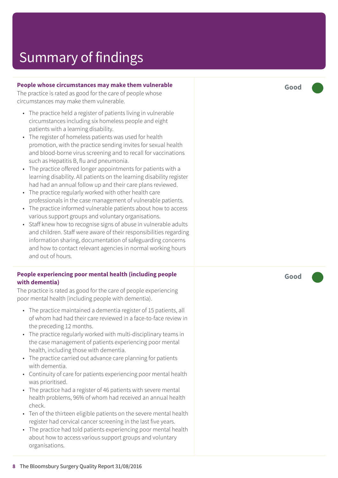#### **People whose circumstances may mak e them vulnerable**

The practic e is rated as good for the car e of people whose circumstances may mak e them vulnerable.

- The practice held a register of patients living in vulnerable circumstances including six homeless people and eight patients with a learning disability.
- The register of homeless patients was used for health promotion, with the practic e sending invites for sexual health and blood-borne virus screening and to recall for vaccinations such as Hepatitis B, flu and pneumonia.
- The practic e offered longer appointments for patients with a learning disability. All patients on the learning disability register had had an annual follow up and their car e plans r eviewed.
- The practice regularly worked with other health care professionals in the case management of vulnerable patients.
- The practice informed vulnerable patients about how to access various support groups and voluntar y or ganisations.
- Staff knew how to recognise signs of abuse in vulnerable adults and children. Staff wer e awar e of their responsibilities r e garding information sharing, documentation of saf eguarding concerns and how to contact relevant agencies in normal working hours and out of hours.

#### **People experiencing poor mental health (including people with dementia)**

The practice is rated as good for the care of people experiencing poor mental health (including people with dementia).

- The practice maintained a dementia register of 15 patients, all of whom had had their care reviewed in a face-to-face review in the preceding 12 months.
- The practice regularly worked with multi-disciplinary teams in the case management of patients experiencing poor mental health, including those with dementia.
- The practice carried out advance care planning for patients with dementia.
- Continuity of care for patients experiencing poor mental health was prioritised.
- The practice had a register of 46 patients with severe mental health problems, 96% of whom had received an annual health check.
- Ten of the thirteen eligible patients on the severe mental health r egister had cervical cancer screening in the last five years.
- The practice had told patients experiencing poor mental health about how t o ac cess various support groups and voluntar y or ganisations.

**Good –––**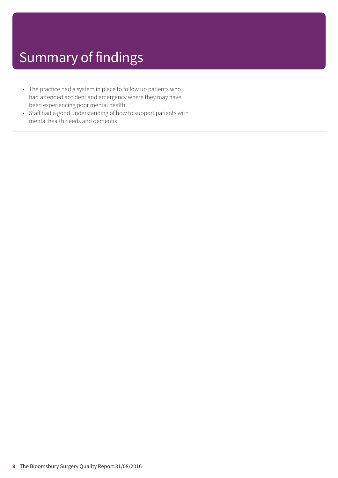- The practice had a system in place to follow up patients who had attended accident and emergency where they may have been experiencing poor mental health.
- Staff had a good understanding of how to support patients with mental health needs and dementia.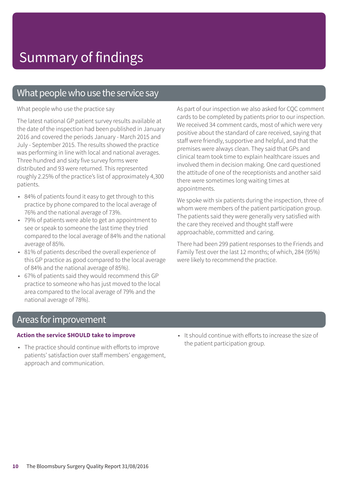### What people who use the service say

What people who use the practice say

The latest national GP patient survey results available at the date of the inspection had been published in January 2016 and covered the periods January - March 2015 and July - September 2015. The results showed the practice was performing in line with local and national averages. Three hundred and sixty five survey forms were distributed and 93 were returned. This represented roughly 2.25% of the practice's list of approximately 4,300 patients.

- 84% of patients found it easy to get through to this practice by phone compared to the local average of 76% and the national average of 73%.
- 79% of patients were able to get an appointment to see or speak to someone the last time they tried compared to the local average of 84% and the national average of 85%.
- 81% of patients described the overall experience of this GP practice as good compared to the local average of 84% and the national average of 85%).
- 67% of patients said they would recommend this GP practice to someone who has just moved to the local area compared to the local average of 79% and the national average of 78%).

As part of our inspection we also asked for CQC comment cards to be completed by patients prior to our inspection. We received 34 comment cards, most of which were very positive about the standard of care received, saying that staff were friendly, supportive and helpful, and that the premises were always clean. They said that GPs and clinical team took time to explain healthcare issues and involved them in decision making. One card questioned the attitude of one of the receptionists and another said there were sometimes long waiting times at appointments.

We spoke with six patients during the inspection, three of whom were members of the patient participation group. The patients said they were generally very satisfied with the care they received and thought staff were approachable, committed and caring.

There had been 299 patient responses to the Friends and Family Test over the last 12 months; of which, 284 (95%) were likely to recommend the practice.

#### Areas for improvement

#### **Action the service SHOULD take to improve**

- The practice should continue with efforts to improve patients' satisfaction over staff members' engagement, approach and communication.
- It should continue with efforts to increase the size of the patient participation group.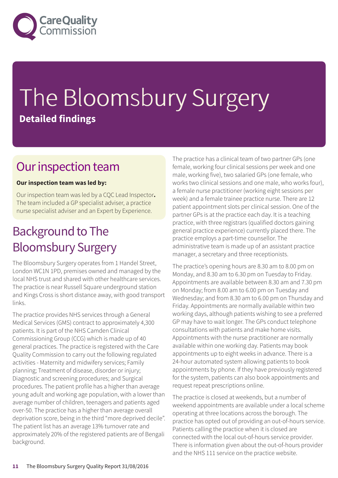

# The Bloomsbury Surgery **Detailed findings**

### Our inspection team

#### **Our inspection team was led by:**

Our inspection team was led by a CQC Lead Inspector**.** The team included a GP specialist adviser, a practice nurse specialist adviser and an Expert by Experience.

### **Background to The** Bloomsbury Surgery

The Bloomsbury Surgery operates from 1 Handel Street, London WC1N 1PD, premises owned and managed by the local NHS trust and shared with other healthcare services. The practice is near Russell Square underground station and Kings Cross is short distance away, with good transport links.

The practice provides NHS services through a General Medical Services (GMS) contract to approximately 4,300 patients. It is part of the NHS Camden Clinical Commissioning Group (CCG) which is made up of 40 general practices. The practice is registered with the Care Quality Commission to carry out the following regulated activities - Maternity and midwifery services; Family planning; Treatment of disease, disorder or injury; Diagnostic and screening procedures; and Surgical procedures. The patient profile has a higher than average young adult and working age population, with a lower than average number of children, teenagers and patients aged over-50. The practice has a higher than average overall deprivation score, being in the third "more deprived decile". The patient list has an average 13% turnover rate and approximately 20% of the registered patients are of Bengali background.

The practice has a clinical team of two partner GPs (one female, working four clinical sessions per week and one male, working five), two salaried GPs (one female, who works two clinical sessions and one male, who works four), a female nurse practitioner (working eight sessions per week) and a female trainee practice nurse. There are 12 patient appointment slots per clinical session. One of the partner GPs is at the practice each day. It is a teaching practice, with three registrars (qualified doctors gaining general practice experience) currently placed there. The practice employs a part-time counsellor. The administrative team is made up of an assistant practice manager, a secretary and three receptionists.

The practice's opening hours are 8.30 am to 8.00 pm on Monday, and 8.30 am to 6.30 pm on Tuesday to Friday. Appointments are available between 8.30 am and 7.30 pm on Monday; from 8.00 am to 6.00 pm on Tuesday and Wednesday; and from 8.30 am to 6.00 pm on Thursday and Friday. Appointments are normally available within two working days, although patients wishing to see a preferred GP may have to wait longer. The GPs conduct telephone consultations with patients and make home visits. Appointments with the nurse practitioner are normally available within one working day. Patients may book appointments up to eight weeks in advance. There is a 24-hour automated system allowing patients to book appointments by phone. If they have previously registered for the system, patients can also book appointments and request repeat prescriptions online.

The practice is closed at weekends, but a number of weekend appointments are available under a local scheme operating at three locations across the borough. The practice has opted out of providing an out-of-hours service. Patients calling the practice when it is closed are connected with the local out-of-hours service provider. There is information given about the out-of-hours provider and the NHS 111 service on the practice website.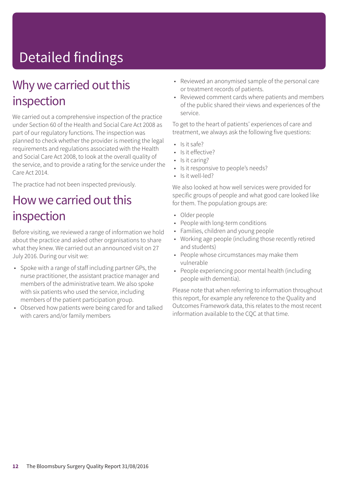## Detailed findings

### Why we carried out this inspection

We carried out a comprehensive inspection of the practice under Section 60 of the Health and Social Care Act 2008 as part of our regulatory functions. The inspection was planned to check whether the provider is meeting the legal requirements and regulations associated with the Health and Social Care Act 2008, to look at the overall quality of the service, and to provide a rating for the service under the Care Act 2014.

The practice had not been inspected previously.

### How we carried out this inspection

Before visiting, we reviewed a range of information we hold about the practice and asked other organisations to share what they knew. We carried out an announced visit on 27 July 2016. During our visit we:

- Spoke with a range of staff including partner GPs, the nurse practitioner, the assistant practice manager and members of the administrative team. We also spoke with six patients who used the service, including members of the patient participation group.
- Observed how patients were being cared for and talked with carers and/or family members
- Reviewed an anonymised sample of the personal care or treatment records of patients.
- Reviewed comment cards where patients and members of the public shared their views and experiences of the service.

To get to the heart of patients' experiences of care and treatment, we always ask the following five questions:

- $\cdot$  Is it safe?
- Is it effective?
- Is it caring?
- Is it responsive to people's needs?
- Is it well-led?

We also looked at how well services were provided for specific groups of people and what good care looked like for them. The population groups are:

- Older people
- People with long-term conditions
- Families, children and young people
- Working age people (including those recently retired and students)
- People whose circumstances may make them vulnerable
- People experiencing poor mental health (including people with dementia).

Please note that when referring to information throughout this report, for example any reference to the Quality and Outcomes Framework data, this relates to the most recent information available to the CQC at that time.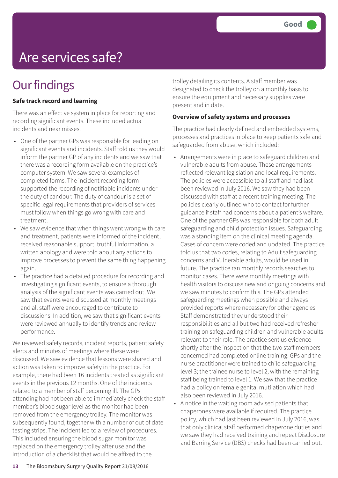## Are services safe?

### **Our findings**

#### **Safe track record and learning**

There was an effective system in place for reporting and recording significant events. These included actual incidents and near misses.

- One of the partner GPs was responsible for leading on significant events and incidents. Staff told us they would inform the partner GP of any incidents and we saw that there was a recording form available on the practice's computer system. We saw several examples of completed forms. The incident recording form supported the recording of notifiable incidents under the duty of candour. The duty of candour is a set of specific legal requirements that providers of services must follow when things go wrong with care and treatment.
- We saw evidence that when things went wrong with care and treatment, patients were informed of the incident, received reasonable support, truthful information, a written apology and were told about any actions to improve processes to prevent the same thing happening again.
- The practice had a detailed procedure for recording and investigating significant events, to ensure a thorough analysis of the significant events was carried out. We saw that events were discussed at monthly meetings and all staff were encouraged to contribute to discussions. In addition, we saw that significant events were reviewed annually to identify trends and review performance.

We reviewed safety records, incident reports, patient safety alerts and minutes of meetings where these were discussed. We saw evidence that lessons were shared and action was taken to improve safety in the practice. For example, there had been 16 incidents treated as significant events in the previous 12 months. One of the incidents related to a member of staff becoming ill. The GPs attending had not been able to immediately check the staff member's blood sugar level as the monitor had been removed from the emergency trolley. The monitor was subsequently found, together with a number of out of date testing strips. The incident led to a review of procedures. This included ensuring the blood sugar monitor was replaced on the emergency trolley after use and the introduction of a checklist that would be affixed to the

trolley detailing its contents. A staff member was designated to check the trolley on a monthly basis to ensure the equipment and necessary supplies were present and in date.

#### **Overview of safety systems and processes**

The practice had clearly defined and embedded systems, processes and practices in place to keep patients safe and safeguarded from abuse, which included:

- Arrangements were in place to safeguard children and vulnerable adults from abuse. These arrangements reflected relevant legislation and local requirements. The policies were accessible to all staff and had last been reviewed in July 2016. We saw they had been discussed with staff at a recent training meeting. The policies clearly outlined who to contact for further guidance if staff had concerns about a patient's welfare. One of the partner GPs was responsible for both adult safeguarding and child protection issues. Safeguarding was a standing item on the clinical meeting agenda. Cases of concern were coded and updated. The practice told us that two codes, relating to Adult safeguarding concerns and Vulnerable adults, would be used in future. The practice ran monthly records searches to monitor cases. There were monthly meetings with health visitors to discuss new and ongoing concerns and we saw minutes to confirm this. The GPs attended safeguarding meetings when possible and always provided reports where necessary for other agencies. Staff demonstrated they understood their responsibilities and all but two had received refresher training on safeguarding children and vulnerable adults relevant to their role. The practice sent us evidence shortly after the inspection that the two staff members concerned had completed online training. GPs and the nurse practitioner were trained to child safeguarding level 3; the trainee nurse to level 2, with the remaining staff being trained to level 1. We saw that the practice had a policy on female genital mutilation which had also been reviewed in July 2016.
- A notice in the waiting room advised patients that chaperones were available if required. The practice policy, which had last been reviewed in July 2016, was that only clinical staff performed chaperone duties and we saw they had received training and repeat Disclosure and Barring Service (DBS) checks had been carried out.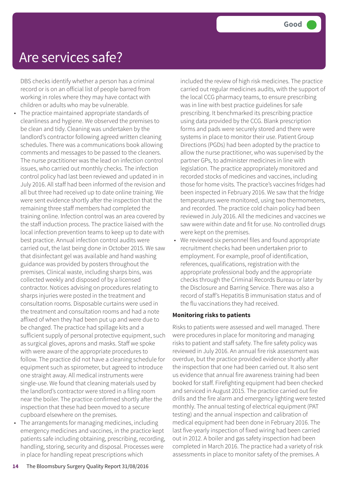### Are services safe?

DBS checks identify whether a person has a criminal record or is on an official list of people barred from working in roles where they may have contact with children or adults who may be vulnerable.

- The practice maintained appropriate standards of cleanliness and hygiene. We observed the premises to be clean and tidy. Cleaning was undertaken by the landlord's contractor following agreed written cleaning schedules. There was a communications book allowing comments and messages to be passed to the cleaners. The nurse practitioner was the lead on infection control issues, who carried out monthly checks. The infection control policy had last been reviewed and updated in in July 2016. All staff had been informed of the revision and all but three had received up to date online training. We were sent evidence shortly after the inspection that the remaining three staff members had completed the training online. Infection control was an area covered by the staff induction process. The practice liaised with the local infection prevention teams to keep up to date with best practice. Annual infection control audits were carried out, the last being done in October 2015. We saw that disinfectant gel was available and hand washing guidance was provided by posters throughout the premises. Clinical waste, including sharps bins, was collected weekly and disposed of by a licensed contractor. Notices advising on procedures relating to sharps injuries were posted in the treatment and consultation rooms. Disposable curtains were used in the treatment and consultation rooms and had a note affixed of when they had been put up and were due to be changed. The practice had spillage kits and a sufficient supply of personal protective equipment, such as surgical gloves, aprons and masks. Staff we spoke with were aware of the appropriate procedures to follow. The practice did not have a cleaning schedule for equipment such as spirometer, but agreed to introduce one straight away. All medical instruments were single-use. We found that cleaning materials used by the landlord's contractor were stored in a filing room near the boiler. The practice confirmed shortly after the inspection that these had been moved to a secure cupboard elsewhere on the premises.
- The arrangements for managing medicines, including emergency medicines and vaccines, in the practice kept patients safe including obtaining, prescribing, recording, handling, storing, security and disposal. Processes were in place for handling repeat prescriptions which

included the review of high risk medicines. The practice carried out regular medicines audits, with the support of the local CCG pharmacy teams, to ensure prescribing was in line with best practice guidelines for safe prescribing. It benchmarked its prescribing practice using data provided by the CCG. Blank prescription forms and pads were securely stored and there were systems in place to monitor their use. Patient Group Directions (PGDs) had been adopted by the practice to allow the nurse practitioner, who was supervised by the partner GPs, to administer medicines in line with legislation. The practice appropriately monitored and recorded stocks of medicines and vaccines, including those for home visits. The practice's vaccines fridges had been inspected in February 2016. We saw that the fridge temperatures were monitored, using two thermometers, and recorded. The practice cold chain policy had been reviewed in July 2016. All the medicines and vaccines we saw were within date and fit for use. No controlled drugs were kept on the premises.

• We reviewed six personnel files and found appropriate recruitment checks had been undertaken prior to employment. For example, proof of identification, references, qualifications, registration with the appropriate professional body and the appropriate checks through the Criminal Records Bureau or later by the Disclosure and Barring Service. There was also a record of staff's Hepatitis B immunisation status and of the flu vaccinations they had received.

#### **Monitoring risks to patients**

Risks to patients were assessed and well managed. There were procedures in place for monitoring and managing risks to patient and staff safety. The fire safety policy was reviewed in July 2016. An annual fire risk assessment was overdue, but the practice provided evidence shortly after the inspection that one had been carried out. It also sent us evidence that annual fire awareness training had been booked for staff. Firefighting equipment had been checked and serviced in August 2015. The practice carried out fire drills and the fire alarm and emergency lighting were tested monthly. The annual testing of electrical equipment (PAT testing) and the annual inspection and calibration of medical equipment had been done in February 2016. The last five-yearly inspection of fixed wiring had been carried out in 2012. A boiler and gas safety inspection had been completed in March 2016. The practice had a variety of risk assessments in place to monitor safety of the premises. A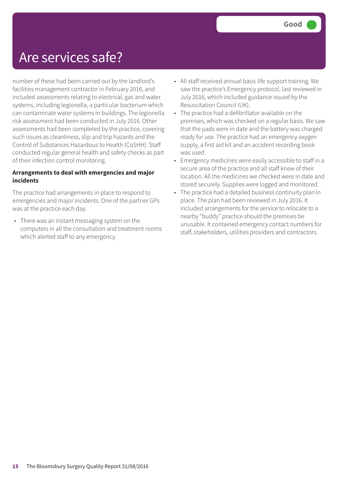### Are services safe?

number of these had been carried out by the landlord's facilities management contractor in February 2016, and included assessments relating to electrical, gas and water systems, including legionella, a particular bacterium which can contaminate water systems in buildings. The legionella risk assessment had been conducted in July 2016. Other assessments had been completed by the practice, covering such issues as cleanliness, slip and trip hazards and the Control of Substances Hazardous to Health (CoSHH). Staff conducted regular general health and safety checks as part of their infection control monitoring.

#### **Arrangements to deal with emergencies and major incidents**

The practice had arrangements in place to respond to emergencies and major incidents. One of the partner GPs was at the practice each day.

• There was an instant messaging system on the computers in all the consultation and treatment rooms which alerted staff to any emergency.

- All staff received annual basic life support training. We saw the practice's Emergency protocol, last reviewed in July 2016, which included guidance issued by the Resuscitation Council (UK).
- The practice had a defibrillator available on the premises, which was checked on a regular basis. We saw that the pads were in date and the battery was charged ready for use. The practice had an emergency oxygen supply, a first aid kit and an accident recording book was used.
- Emergency medicines were easily accessible to staff in a secure area of the practice and all staff knew of their location. All the medicines we checked were in date and stored securely. Supplies were logged and monitored.
- The practice had a detailed business continuity plan in place. The plan had been reviewed in July 2016. It included arrangements for the service to relocate to a nearby "buddy" practice should the premises be unusable. It contained emergency contact numbers for staff, stakeholders, utilities providers and contractors.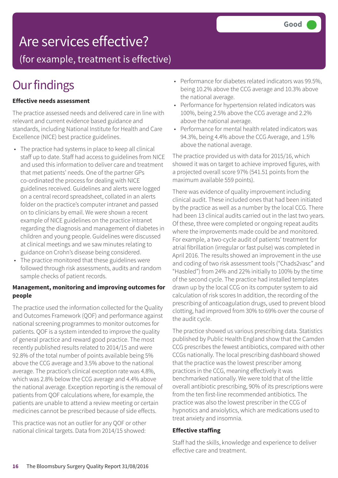### Are services effective?

(for example, treatment is effective)

### **Our findings**

#### **Effective needs assessment**

The practice assessed needs and delivered care in line with relevant and current evidence based guidance and standards, including National Institute for Health and Care Excellence (NICE) best practice guidelines.

- The practice had systems in place to keep all clinical staff up to date. Staff had access to guidelines from NICE and used this information to deliver care and treatment that met patients' needs. One of the partner GPs co-ordinated the process for dealing with NICE guidelines received. Guidelines and alerts were logged on a central record spreadsheet, collated in an alerts folder on the practice's computer intranet and passed on to clinicians by email. We were shown a recent example of NICE guidelines on the practice intranet regarding the diagnosis and management of diabetes in children and young people. Guidelines were discussed at clinical meetings and we saw minutes relating to guidance on Crohn's disease being considered.
- The practice monitored that these guidelines were followed through risk assessments, audits and random sample checks of patient records.

#### **Management, monitoring and improving outcomes for people**

The practice used the information collected for the Quality and Outcomes Framework (QOF) and performance against national screening programmes to monitor outcomes for patients. QOF is a system intended to improve the quality of general practice and reward good practice. The most recently published results related to 2014/15 and were 92.8% of the total number of points available being 5% above the CCG average and 3.5% above to the national average. The practice's clinical exception rate was 4.8%, which was 2.8% below the CCG average and 4.4% above the national average. Exception reporting is the removal of patients from QOF calculations where, for example, the patients are unable to attend a review meeting or certain medicines cannot be prescribed because of side effects.

This practice was not an outlier for any QOF or other national clinical targets. Data from 2014/15 showed:

- Performance for diabetes related indicators was 99.5%, being 10.2% above the CCG average and 10.3% above the national average.
- Performance for hypertension related indicators was 100%, being 2.5% above the CCG average and 2.2% above the national average.
- Performance for mental health related indicators was 94.3%, being 4.4% above the CCG Average, and 1.5% above the national average.

The practice provided us with data for 2015/16, which showed it was on target to achieve improved figures, with a projected overall score 97% (541.51 points from the maximum available 559 points).

There was evidence of quality improvement including clinical audit. These included ones that had been initiated by the practice as well as a number by the local CCG. There had been 13 clinical audits carried out in the last two years. Of these, three were completed or ongoing repeat audits where the improvements made could be and monitored. For example, a two-cycle audit of patients' treatment for atrial fibrillation (irregular or fast pulse) was completed in April 2016. The results showed an improvement in the use and coding of two risk assessment tools ("Chads2vasc" and "Hasbled") from 24% and 22% initially to 100% by the time of the second cycle. The practice had installed templates drawn up by the local CCG on its computer system to aid calculation of risk scores In addition, the recording of the prescribing of anticoagulation drugs, used to prevent blood clotting, had improved from 30% to 69% over the course of the audit cycle.

The practice showed us various prescribing data. Statistics published by Public Health England show that the Camden CCG prescribes the fewest antibiotics, compared with other CCGs nationally. The local prescribing dashboard showed that the practice was the lowest prescriber among practices in the CCG, meaning effectively it was benchmarked nationally. We were told that of the little overall antibiotic prescribing, 90% of its prescriptions were from the ten first-line recommended antibiotics. The practice was also the lowest prescriber in the CCG of hypnotics and anxiolytics, which are medications used to treat anxiety and insomnia.

#### **Effective staffing**

Staff had the skills, knowledge and experience to deliver effective care and treatment.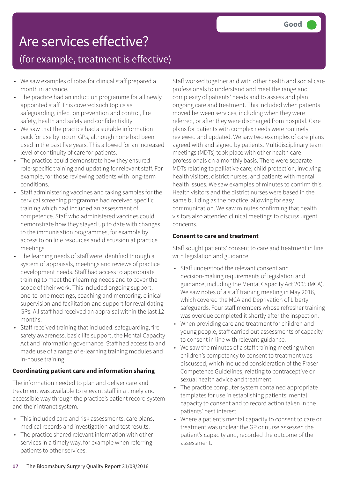## Are services effective?

### (for example, treatment is effective)

- We saw examples of rotas for clinical staff prepared a month in advance.
- The practice had an induction programme for all newly appointed staff. This covered such topics as safeguarding, infection prevention and control, fire safety, health and safety and confidentiality.
- We saw that the practice had a suitable information pack for use by locum GPs, although none had been used in the past five years. This allowed for an increased level of continuity of care for patients.
- The practice could demonstrate how they ensured role-specific training and updating for relevant staff. For example, for those reviewing patients with long-term conditions.
- Staff administering vaccines and taking samples for the cervical screening programme had received specific training which had included an assessment of competence. Staff who administered vaccines could demonstrate how they stayed up to date with changes to the immunisation programmes, for example by access to on line resources and discussion at practice meetings.
- The learning needs of staff were identified through a system of appraisals, meetings and reviews of practice development needs. Staff had access to appropriate training to meet their learning needs and to cover the scope of their work. This included ongoing support, one-to-one meetings, coaching and mentoring, clinical supervision and facilitation and support for revalidating GPs. All staff had received an appraisal within the last 12 months.
- Staff received training that included: safeguarding, fire safety awareness, basic life support, the Mental Capacity Act and information governance. Staff had access to and made use of a range of e-learning training modules and in-house training.

#### **Coordinating patient care and information sharing**

The information needed to plan and deliver care and treatment was available to relevant staff in a timely and accessible way through the practice's patient record system and their intranet system.

- This included care and risk assessments, care plans, medical records and investigation and test results.
- The practice shared relevant information with other services in a timely way, for example when referring patients to other services.

Staff worked together and with other health and social care professionals to understand and meet the range and complexity of patients' needs and to assess and plan ongoing care and treatment. This included when patients moved between services, including when they were referred, or after they were discharged from hospital. Care plans for patients with complex needs were routinely reviewed and updated. We saw two examples of care plans agreed with and signed by patients. Multidisciplinary team meetings (MDTs) took place with other health care professionals on a monthly basis. There were separate MDTs relating to palliative care; child protection, involving health visitors; district nurses; and patients with mental health issues. We saw examples of minutes to confirm this. Health visitors and the district nurses were based in the same building as the practice, allowing for easy communication. We saw minutes confirming that health visitors also attended clinical meetings to discuss urgent concerns.

#### **Consent to care and treatment**

Staff sought patients' consent to care and treatment in line with legislation and guidance.

- Staff understood the relevant consent and decision-making requirements of legislation and guidance, including the Mental Capacity Act 2005 (MCA). We saw notes of a staff training meeting in May 2016, which covered the MCA and Deprivation of Liberty safeguards. Four staff members whose refresher training was overdue completed it shortly after the inspection.
- When providing care and treatment for children and young people, staff carried out assessments of capacity to consent in line with relevant guidance.
- We saw the minutes of a staff training meeting when children's competency to consent to treatment was discussed, which included consideration of the Fraser Competence Guidelines, relating to contraceptive or sexual health advice and treatment.
- The practice computer system contained appropriate templates for use in establishing patients' mental capacity to consent and to record action taken in the patients' best interest.
- Where a patient's mental capacity to consent to care or treatment was unclear the GP or nurse assessed the patient's capacity and, recorded the outcome of the assessment.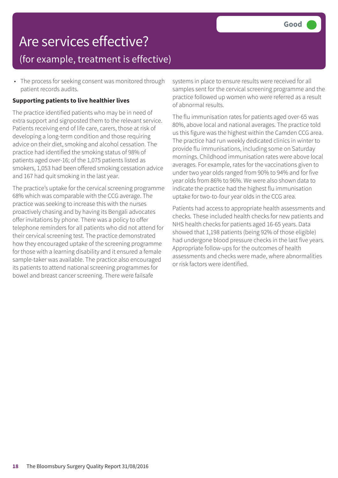### Are services effective? (for example, treatment is effective)

• The process for seeking consent was monitored through patient records audits.

#### **Supporting patients to live healthier lives**

The practice identified patients who may be in need of extra support and signposted them to the relevant service. Patients receiving end of life care, carers, those at risk of developing a long-term condition and those requiring advice on their diet, smoking and alcohol cessation. The practice had identified the smoking status of 98% of patients aged over-16; of the 1,075 patients listed as smokers, 1,053 had been offered smoking cessation advice and 167 had quit smoking in the last year.

The practice's uptake for the cervical screening programme 68% which was comparable with the CCG average. The practice was seeking to increase this with the nurses proactively chasing and by having its Bengali advocates offer invitations by phone. There was a policy to offer telephone reminders for all patients who did not attend for their cervical screening test. The practice demonstrated how they encouraged uptake of the screening programme for those with a learning disability and it ensured a female sample-taker was available. The practice also encouraged its patients to attend national screening programmes for bowel and breast cancer screening. There were failsafe

systems in place to ensure results were received for all samples sent for the cervical screening programme and the practice followed up women who were referred as a result of abnormal results.

The flu immunisation rates for patients aged over-65 was 80%, above local and national averages. The practice told us this figure was the highest within the Camden CCG area. The practice had run weekly dedicated clinics in winter to provide flu immunisations, including some on Saturday mornings. Childhood immunisation rates were above local averages. For example, rates for the vaccinations given to under two year olds ranged from 90% to 94% and for five year olds from 86% to 96%. We were also shown data to indicate the practice had the highest flu immunisation uptake for two-to-four year olds in the CCG area.

Patients had access to appropriate health assessments and checks. These included health checks for new patients and NHS health checks for patients aged 16-65 years. Data showed that 1,198 patients (being 92% of those eligible) had undergone blood pressure checks in the last five years. Appropriate follow-ups for the outcomes of health assessments and checks were made, where abnormalities or risk factors were identified.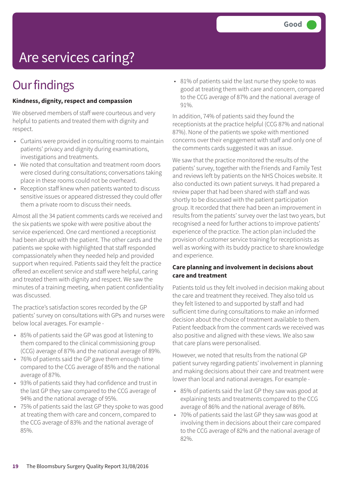## Are services caring?

### **Our findings**

#### **Kindness, dignity, respect and compassion**

We observed members of staff were courteous and very helpful to patients and treated them with dignity and respect.

- Curtains were provided in consulting rooms to maintain patients' privacy and dignity during examinations, investigations and treatments.
- We noted that consultation and treatment room doors were closed during consultations; conversations taking place in these rooms could not be overheard.
- Reception staff knew when patients wanted to discuss sensitive issues or appeared distressed they could offer them a private room to discuss their needs.

Almost all the 34 patient comments cards we received and the six patients we spoke with were positive about the service experienced. One card mentioned a receptionist had been abrupt with the patient. The other cards and the patients we spoke with highlighted that staff responded compassionately when they needed help and provided support when required. Patients said they felt the practice offered an excellent service and staff were helpful, caring and treated them with dignity and respect. We saw the minutes of a training meeting, when patient confidentiality was discussed.

The practice's satisfaction scores recorded by the GP patients' survey on consultations with GPs and nurses were below local averages. For example -

- 85% of patients said the GP was good at listening to them compared to the clinical commissioning group (CCG) average of 87% and the national average of 89%.
- 76% of patients said the GP gave them enough time compared to the CCG average of 85% and the national average of 87%.
- 93% of patients said they had confidence and trust in the last GP they saw compared to the CCG average of 94% and the national average of 95%.
- 75% of patients said the last GP they spoke to was good at treating them with care and concern, compared to the CCG average of 83% and the national average of 85%.

• 81% of patients said the last nurse they spoke to was good at treating them with care and concern, compared to the CCG average of 87% and the national average of 91%.

In addition, 74% of patients said they found the receptionists at the practice helpful (CCG 87% and national 87%). None of the patients we spoke with mentioned concerns over their engagement with staff and only one of the comments cards suggested it was an issue.

We saw that the practice monitored the results of the patients' survey, together with the Friends and Family Test and reviews left by patients on the NHS Choices website. It also conducted its own patient surveys. It had prepared a review paper that had been shared with staff and was shortly to be discussed with the patient participation group. It recorded that there had been an improvement in results from the patients' survey over the last two years, but recognised a need for further actions to improve patients' experience of the practice. The action plan included the provision of customer service training for receptionists as well as working with its buddy practice to share knowledge and experience.

#### **Care planning and involvement in decisions about care and treatment**

Patients told us they felt involved in decision making about the care and treatment they received. They also told us they felt listened to and supported by staff and had sufficient time during consultations to make an informed decision about the choice of treatment available to them. Patient feedback from the comment cards we received was also positive and aligned with these views. We also saw that care plans were personalised.

However, we noted that results from the national GP patient survey regarding patients' involvement in planning and making decisions about their care and treatment were lower than local and national averages. For example -

- 85% of patients said the last GP they saw was good at explaining tests and treatments compared to the CCG average of 86% and the national average of 86%.
- 70% of patients said the last GP they saw was good at involving them in decisions about their care compared to the CCG average of 82% and the national average of 82%.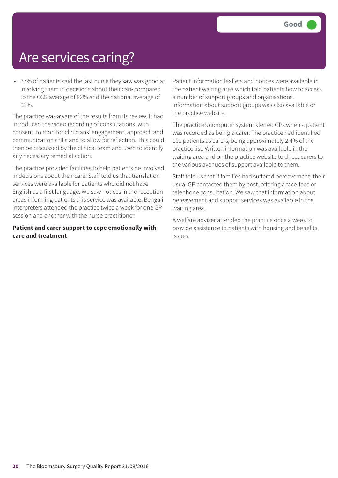### Are services caring?

• 77% of patients said the last nurse they saw was good at involving them in decisions about their care compared to the CCG average of 82% and the national average of 85%.

The practice was aware of the results from its review. It had introduced the video recording of consultations, with consent, to monitor clinicians' engagement, approach and communication skills and to allow for reflection. This could then be discussed by the clinical team and used to identify any necessary remedial action.

The practice provided facilities to help patients be involved in decisions about their care. Staff told us that translation services were available for patients who did not have English as a first language. We saw notices in the reception areas informing patients this service was available. Bengali interpreters attended the practice twice a week for one GP session and another with the nurse practitioner.

#### **Patient and carer support to cope emotionally with care and treatment**

Patient information leaflets and notices were available in the patient waiting area which told patients how to access a number of support groups and organisations. Information about support groups was also available on the practice website.

The practice's computer system alerted GPs when a patient was recorded as being a carer. The practice had identified 101 patients as carers, being approximately 2.4% of the practice list. Written information was available in the waiting area and on the practice website to direct carers to the various avenues of support available to them.

Staff told us that if families had suffered bereavement, their usual GP contacted them by post, offering a face-face or telephone consultation. We saw that information about bereavement and support services was available in the waiting area.

A welfare adviser attended the practice once a week to provide assistance to patients with housing and benefits issues.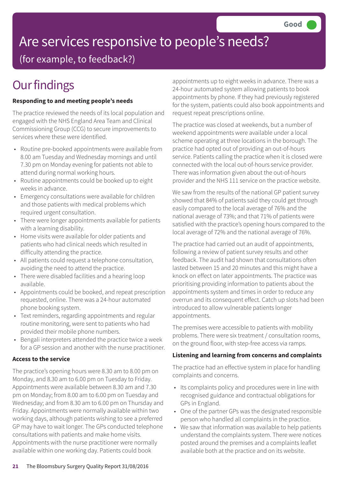# Are services responsive to people's needs?

(for example, to feedback?)

## **Our findings**

#### **Responding to and meeting people's needs**

The practice reviewed the needs of its local population and engaged with the NHS England Area Team and Clinical Commissioning Group (CCG) to secure improvements to services where these were identified.

- Routine pre-booked appointments were available from 8.00 am Tuesday and Wednesday mornings and until 7.30 pm on Monday evening for patients not able to attend during normal working hours.
- Routine appointments could be booked up to eight weeks in advance.
- Emergency consultations were available for children and those patients with medical problems which required urgent consultation.
- There were longer appointments available for patients with a learning disability.
- Home visits were available for older patients and patients who had clinical needs which resulted in difficulty attending the practice.
- All patients could request a telephone consultation, avoiding the need to attend the practice.
- There were disabled facilities and a hearing loop available.
- Appointments could be booked, and repeat prescription requested, online. There was a 24-hour automated phone booking system.
- Text reminders, regarding appointments and regular routine monitoring, were sent to patients who had provided their mobile phone numbers.
- Bengali interpreters attended the practice twice a week for a GP session and another with the nurse practitioner.

#### **Access to the service**

The practice's opening hours were 8.30 am to 8.00 pm on Monday, and 8.30 am to 6.00 pm on Tuesday to Friday. Appointments were available between 8.30 am and 7.30 pm on Monday; from 8.00 am to 6.00 pm on Tuesday and Wednesday; and from 8.30 am to 6.00 pm on Thursday and Friday. Appointments were normally available within two working days, although patients wishing to see a preferred GP may have to wait longer. The GPs conducted telephone consultations with patients and make home visits. Appointments with the nurse practitioner were normally available within one working day. Patients could book

appointments up to eight weeks in advance. There was a 24-hour automated system allowing patients to book appointments by phone. If they had previously registered for the system, patients could also book appointments and request repeat prescriptions online.

The practice was closed at weekends, but a number of weekend appointments were available under a local scheme operating at three locations in the borough. The practice had opted out of providing an out-of-hours service. Patients calling the practice when it is closed were connected with the local out-of-hours service provider. There was information given about the out-of-hours provider and the NHS 111 service on the practice website.

We saw from the results of the national GP patient survey showed that 84% of patients said they could get through easily compared to the local average of 76% and the national average of 73%; and that 71% of patients were satisfied with the practice's opening hours compared to the local average of 72% and the national average of 76%.

The practice had carried out an audit of appointments, following a review of patient survey results and other feedback. The audit had shown that consultations often lasted between 15 and 20 minutes and this might have a knock on effect on later appointments. The practice was prioritising providing information to patients about the appointments system and times in order to reduce any overrun and its consequent effect. Catch up slots had been introduced to allow vulnerable patients longer appointments.

The premises were accessible to patients with mobility problems. There were six treatment / consultation rooms, on the ground floor, with step-free access via ramps.

#### **Listening and learning from concerns and complaints**

The practice had an effective system in place for handling complaints and concerns.

- Its complaints policy and procedures were in line with recognised guidance and contractual obligations for GPs in England.
- One of the partner GPs was the designated responsible person who handled all complaints in the practice.
- We saw that information was available to help patients understand the complaints system. There were notices posted around the premises and a complaints leaflet available both at the practice and on its website.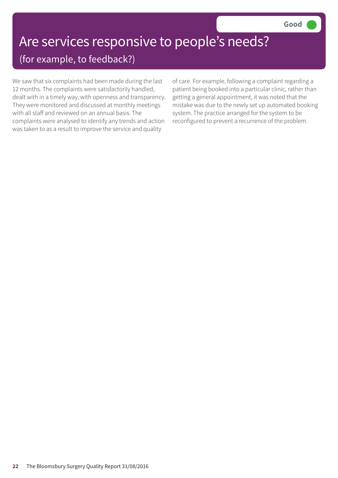### Are services responsive to people's needs? (for example, to feedback?)

We saw that six complaints had been made during the last 12 months. The complaints were satisfactorily handled, dealt with in a timely way, with openness and transparency. They were monitored and discussed at monthly meetings with all staff and reviewed on an annual basis. The complaints were analysed to identify any trends and action was taken to as a result to improve the service and quality

of care. For example, following a complaint regarding a patient being booked into a particular clinic, rather than getting a general appointment, it was noted that the mistake was due to the newly set up automated booking system. The practice arranged for the system to be reconfigured to prevent a recurrence of the problem.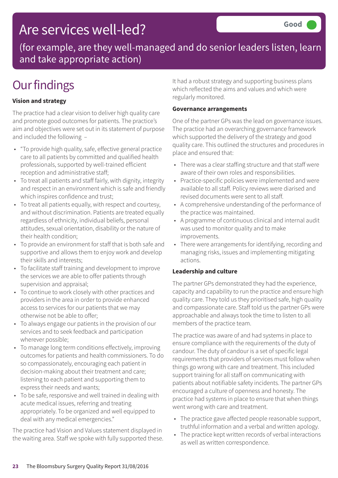### Are services well-led?

(for example, are they well-managed and do senior leaders listen, learn and take appropriate action)

### **Our findings**

#### **Vision and strategy**

The practice had a clear vision to deliver high quality care and promote good outcomes for patients. The practice's aim and objectives were set out in its statement of purpose and included the following –

- "To provide high quality, safe, effective general practice care to all patients by committed and qualified health professionals, supported by well-trained efficient reception and administrative staff;
- To treat all patients and staff fairly, with dignity, integrity and respect in an environment which is safe and friendly which inspires confidence and trust;
- To treat all patients equally, with respect and courtesy, and without discrimination. Patients are treated equally regardless of ethnicity, individual beliefs, personal attitudes, sexual orientation, disability or the nature of their health condition;
- To provide an environment for staff that is both safe and supportive and allows them to enjoy work and develop their skills and interests;
- To facilitate staff training and development to improve the services we are able to offer patients through supervision and appraisal;
- To continue to work closely with other practices and providers in the area in order to provide enhanced access to services for our patients that we may otherwise not be able to offer;
- To always engage our patients in the provision of our services and to seek feedback and participation wherever possible;
- To manage long term conditions effectively, improving outcomes for patients and health commissioners. To do so compassionately, encouraging each patient in decision-making about their treatment and care; listening to each patient and supporting them to express their needs and wants;
- To be safe, responsive and well trained in dealing with acute medical issues, referring and treating appropriately. To be organized and well equipped to deal with any medical emergencies."

The practice had Vision and Values statement displayed in the waiting area. Staff we spoke with fully supported these. It had a robust strategy and supporting business plans which reflected the aims and values and which were regularly monitored.

#### **Governance arrangements**

One of the partner GPs was the lead on governance issues. The practice had an overarching governance framework which supported the delivery of the strategy and good quality care. This outlined the structures and procedures in place and ensured that:

- There was a clear staffing structure and that staff were aware of their own roles and responsibilities.
- Practice-specific policies were implemented and were available to all staff. Policy reviews were diarised and revised documents were sent to all staff.
- A comprehensive understanding of the performance of the practice was maintained.
- A programme of continuous clinical and internal audit was used to monitor quality and to make improvements.
- There were arrangements for identifying, recording and managing risks, issues and implementing mitigating actions.

#### **Leadership and culture**

The partner GPs demonstrated they had the experience, capacity and capability to run the practice and ensure high quality care. They told us they prioritised safe, high quality and compassionate care. Staff told us the partner GPs were approachable and always took the time to listen to all members of the practice team.

The practice was aware of and had systems in place to ensure compliance with the requirements of the duty of candour. The duty of candour is a set of specific legal requirements that providers of services must follow when things go wrong with care and treatment. This included support training for all staff on communicating with patients about notifiable safety incidents. The partner GPs encouraged a culture of openness and honesty. The practice had systems in place to ensure that when things went wrong with care and treatment.

- The practice gave affected people reasonable support, truthful information and a verbal and written apology.
- The practice kept written records of verbal interactions as well as written correspondence.